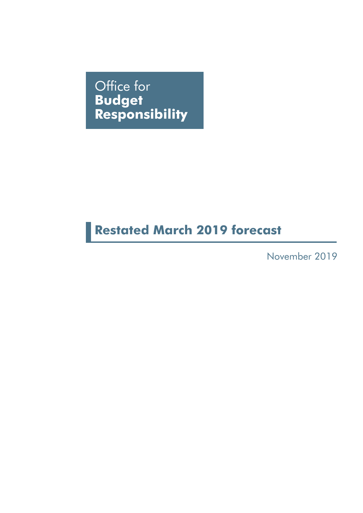Office for **Budget Responsibility** 

## R **Restated March 2019 forecast**

November 2019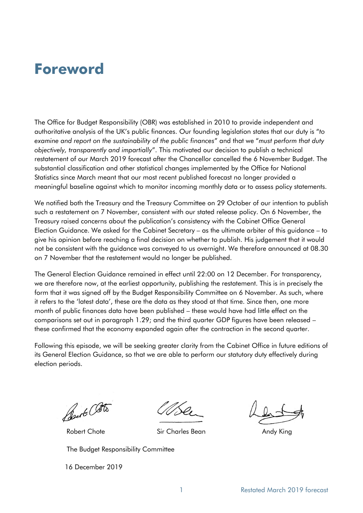# **Foreword**

 *examine and report on the sustainability of the public finances*" and that we "*must perform that duty*  The Office for Budget Responsibility (OBR) was established in 2010 to provide independent and authoritative analysis of the UK's public finances. Our founding legislation states that our duty is "*to objectively, transparently and impartially*". This motivated our decision to publish a technical restatement of our March 2019 forecast after the Chancellor cancelled the 6 November Budget. The substantial classification and other statistical changes implemented by the Office for National Statistics since March meant that our most recent published forecast no longer provided a meaningful baseline against which to monitor incoming monthly data or to assess policy statements.

We notified both the Treasury and the Treasury Committee on 29 October of our intention to publish such a restatement on 7 November, consistent with our stated release policy. On 6 November, the Treasury raised concerns about the publication's consistency with the Cabinet Office General Election Guidance. We asked for the Cabinet Secretary – as the ultimate arbiter of this guidance – to give his opinion before reaching a final decision on whether to publish. His judgement that it would not be consistent with the guidance was conveyed to us overnight. We therefore announced at 08.30 on 7 November that the restatement would no longer be published.

 comparisons set out in paragraph 1.29; and the third quarter GDP figures have been released – The General Election Guidance remained in effect until 22:00 on 12 December. For transparency, we are therefore now, at the earliest opportunity, publishing the restatement. This is in precisely the form that it was signed off by the Budget Responsibility Committee on 6 November. As such, where it refers to the 'latest data', these are the data as they stood at that time. Since then, one more month of public finances data have been published – these would have had little effect on the these confirmed that the economy expanded again after the contraction in the second quarter.

Following this episode, we will be seeking greater clarity from the Cabinet Office in future editions of its General Election Guidance, so that we are able to perform our statutory duty effectively during election periods.

Best Otto

Robert Chote **Sir Charles Bean** Andy King

The Budget Responsibility Committee

16 December 2019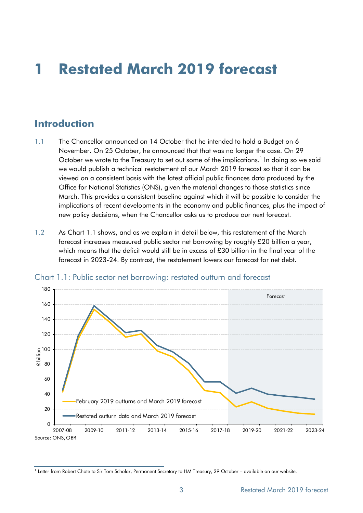# **1 Restated March 2019 forecast**

## **Introduction**

- 1.1 The Chancellor announced on 14 October that he intended to hold a Budget on 6 November. On 25 October, he announced that that was no longer the case. On 29 October we wrote to the Treasury to set out some of the implications.<sup>1</sup> In doing so we said we would publish a technical restatement of our March 2019 forecast so that it can be viewed on a consistent basis with the latest official public finances data produced by the Office for National Statistics (ONS), given the material changes to those statistics since March. This provides a consistent baseline against which it will be possible to consider the implications of recent developments in the economy and public finances, plus the impact of new policy decisions, when the Chancellor asks us to produce our next forecast.
- 1.2 As Chart 1.1 shows, and as we explain in detail below, this restatement of the March forecast increases measured public sector net borrowing by roughly £20 billion a year, which means that the deficit would still be in excess of £30 billion in the final year of the forecast in 2023-24. By contrast, the restatement lowers our forecast for net debt.



Chart 1.1: Public sector net borrowing: restated outturn and forecast

<sup>&</sup>lt;sup>1</sup> Letter from Robert Chote to Sir Tom Scholar, Permanent Secretary to HM Treasury, 29 October – available on our website.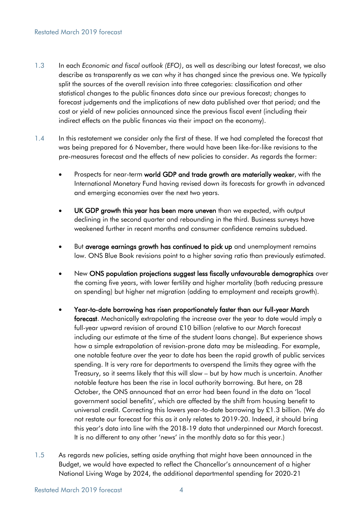- 1.3 In each *Economic and fiscal outlook (EFO)*, as well as describing our latest forecast, we also split the sources of the overall revision into three categories: classification and other describe as transparently as we can why it has changed since the previous one. We typically statistical changes to the public finances data since our previous forecast; changes to forecast judgements and the implications of new data published over that period; and the cost or yield of new policies announced since the previous fiscal event (including their indirect effects on the public finances via their impact on the economy).
- 1.4 In this restatement we consider only the first of these. If we had completed the forecast that was being prepared for 6 November, there would have been like-for-like revisions to the pre-measures forecast and the effects of new policies to consider. As regards the former:
	- Prospects for near-term world GDP and trade growth are materially weaker, with the International Monetary Fund having revised down its forecasts for growth in advanced and emerging economies over the next two years.
	- UK GDP growth this year has been more uneven than we expected, with output declining in the second quarter and rebounding in the third. Business surveys have weakened further in recent months and consumer confidence remains subdued.
	- But average earnings growth has continued to pick up and unemployment remains low. ONS Blue Book revisions point to a higher saving ratio than previously estimated.
	- on spending) but higher net migration (adding to employment and receipts growth). • New ONS population projections suggest less fiscally unfavourable demographics over the coming five years, with lower fertility and higher mortality (both reducing pressure
	- Year-to-date borrowing has risen proportionately faster than our full-year March forecast. Mechanically extrapolating the increase over the year to date would imply a full-year upward revision of around £10 billion (relative to our March forecast including our estimate at the time of the student loans change). But experience shows how a simple extrapolation of revision-prone data may be misleading. For example, one notable feature over the year to date has been the rapid growth of public services spending. It is very rare for departments to overspend the limits they agree with the Treasury, so it seems likely that this will slow – but by how much is uncertain. Another notable feature has been the rise in local authority borrowing. But here, on 28 October, the ONS announced that an error had been found in the data on 'local government social benefits', which are affected by the shift from housing benefit to universal credit. Correcting this lowers year-to-date borrowing by  $£1.3$  billion. (We do not restate our forecast for this as it only relates to 2019-20. Indeed, it should bring this year's data into line with the 2018-19 data that underpinned our March forecast. It is no different to any other 'news' in the monthly data so far this year.)
- 1.5 As regards new policies, setting aside anything that might have been announced in the Budget, we would have expected to reflect the Chancellor's announcement of a higher National Living Wage by 2024, the additional departmental spending for 2020-21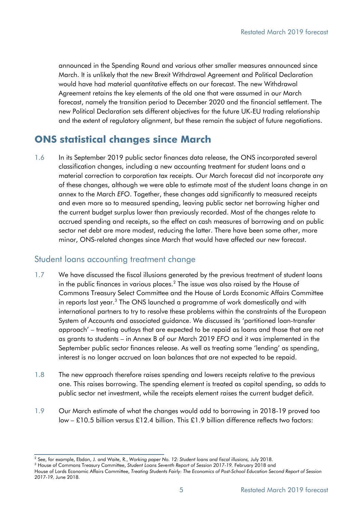announced in the Spending Round and various other smaller measures announced since March. It is unlikely that the new Brexit Withdrawal Agreement and Political Declaration would have had material quantitative effects on our forecast. The new Withdrawal Agreement retains the key elements of the old one that were assumed in our March forecast, namely the transition period to December 2020 and the financial settlement. The new Political Declaration sets different objectives for the future UK-EU trading relationship and the extent of regulatory alignment, but these remain the subject of future negotiations.

## **ONS statistical changes since March**

1.6 In its September 2019 public sector finances data release, the ONS incorporated several classification changes, including a new accounting treatment for student loans and a material correction to corporation tax receipts. Our March forecast did not incorporate any of these changes, although we were able to estimate most of the student loans change in an annex to the March *EFO*. Together, these changes add significantly to measured receipts and even more so to measured spending, leaving public sector net borrowing higher and the current budget surplus lower than previously recorded. Most of the changes relate to accrued spending and receipts, so the effect on cash measures of borrowing and on public sector net debt are more modest, reducing the latter. There have been some other, more minor, ONS-related changes since March that would have affected our new forecast.

## Student loans accounting treatment change

- 1.7 We have discussed the fiscal illusions generated by the previous treatment of student loans in the public finances in various places.<sup>2</sup> The issue was also raised by the House of Commons Treasury Select Committee and the House of Lords Economic Affairs Committee in reports last year. $3$  The ONS launched a programme of work domestically and with international partners to try to resolve these problems within the constraints of the European System of Accounts and associated guidance. We discussed its 'partitioned loan-transfer approach' – treating outlays that are expected to be repaid as loans and those that are not as grants to students – in Annex B of our March 2019 *EFO* and it was implemented in the September public sector finances release. As well as treating some 'lending' as spending, interest is no longer accrued on loan balances that are not expected to be repaid.
- 1.8 The new approach therefore raises spending and lowers receipts relative to the previous one. This raises borrowing. The spending element is treated as capital spending, so adds to public sector net investment, while the receipts element raises the current budget deficit.
- 1.9 Our March estimate of what the changes would add to borrowing in 2018-19 proved too low – £10.5 billion versus £12.4 billion. This £1.9 billion difference reflects two factors:

<sup>&</sup>lt;sup>2</sup> See, for example, Ebdon, J. and Waite, R., Working paper No. 12: Student loans and fiscal illusions, July 2018.<br><sup>3</sup> House of Commons Treasury Committee, Student Loans Seventh Report of Session 2017-19, February 2018 an <sup>3</sup> House of Commons Treasury Committee, Student Loans Seventh Report of Session 2017-19, February 2018 and

 House of Lords Economic Affairs Committee, *Treating Students Fairly: The Economics of Post-School Education Second Report of Session 2017-19,* June 2018.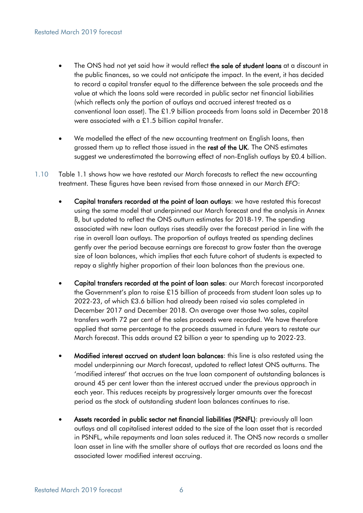- The ONS had not yet said how it would reflect the sale of student loans at a discount in the public finances, so we could not anticipate the impact. In the event, it has decided to record a capital transfer equal to the difference between the sale proceeds and the value at which the loans sold were recorded in public sector net financial liabilities (which reflects only the portion of outlays and accrued interest treated as a conventional loan asset). The £1.9 billion proceeds from loans sold in December 2018 were associated with a £1.5 billion capital transfer.
- We modelled the effect of the new accounting treatment on English loans, then grossed them up to reflect those issued in the rest of the UK. The ONS estimates suggest we underestimated the borrowing effect of non-English outlays by £0.4 billion.
- 1.10 Table 1.1 shows how we have restated our March forecasts to reflect the new accounting treatment. These figures have been revised from those annexed in our March *EFO*:
	- Capital transfers recorded at the point of loan outlays: we have restated this forecast using the same model that underpinned our March forecast and the analysis in Annex B, but updated to reflect the ONS outturn estimates for 2018-19. The spending associated with new loan outlays rises steadily over the forecast period in line with the rise in overall loan outlays. The proportion of outlays treated as spending declines gently over the period because earnings are forecast to grow faster than the average size of loan balances, which implies that each future cohort of students is expected to repay a slightly higher proportion of their loan balances than the previous one.
	- Capital transfers recorded at the point of loan sales: our March forecast incorporated the Government's plan to raise £15 billion of proceeds from student loan sales up to 2022-23, of which £3.6 billion had already been raised via sales completed in December 2017 and December 2018. On average over those two sales, capital transfers worth 72 per cent of the sales proceeds were recorded. We have therefore applied that same percentage to the proceeds assumed in future years to restate our March forecast. This adds around £2 billion a year to spending up to 2022-23.
	- 'modified interest' that accrues on the true loan component of outstanding balances is • Modified interest accrued on student loan balances: this line is also restated using the model underpinning our March forecast, updated to reflect latest ONS outturns. The around 45 per cent lower than the interest accrued under the previous approach in each year. This reduces receipts by progressively larger amounts over the forecast period as the stock of outstanding student loan balances continues to rise.
	- Assets recorded in public sector net financial liabilities (PSNFL): previously all loan outlays and all capitalised interest added to the size of the loan asset that is recorded in PSNFL, while repayments and loan sales reduced it. The ONS now records a smaller loan asset in line with the smaller share of outlays that are recorded as loans and the associated lower modified interest accruing.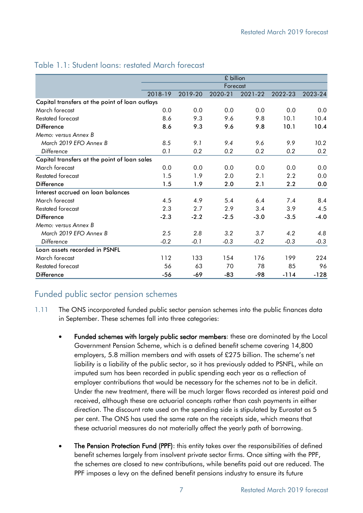|                                                |         |         | £ billion |         |         |         |
|------------------------------------------------|---------|---------|-----------|---------|---------|---------|
|                                                |         |         | Forecast  |         |         |         |
|                                                | 2018-19 | 2019-20 | 2020-21   | 2021-22 | 2022-23 | 2023-24 |
| Capital transfers at the point of loan outlays |         |         |           |         |         |         |
| March forecast                                 | 0.0     | 0.0     | 0.0       | 0.0     | 0.0     | 0.0     |
| <b>Restated forecast</b>                       | 8.6     | 9.3     | 9.6       | 9.8     | 10.1    | 10.4    |
| <b>Difference</b>                              | 8.6     | 9.3     | 9.6       | 9.8     | 10.1    | 10.4    |
| Memo: versus Annex B                           |         |         |           |         |         |         |
| March 2019 EFO Annex B                         | 8.5     | 9.1     | 9.4       | 9.6     | 9.9     | 10.2    |
| <b>Difference</b>                              | 0.1     | 0.2     | 0.2       | 0.2     | 0.2     | 0.2     |
| Capital transfers at the point of loan sales   |         |         |           |         |         |         |
| March forecast                                 | 0.0     | 0.0     | 0.0       | 0.0     | 0.0     | 0.0     |
| <b>Restated forecast</b>                       | 1.5     | 1.9     | 2.0       | 2.1     | 2.2     | 0.0     |
| <b>Difference</b>                              | 1.5     | 1.9     | 2.0       | 2.1     | 2.2     | 0.0     |
| Interest accrued on loan balances              |         |         |           |         |         |         |
| March forecast                                 | 4.5     | 4.9     | 5.4       | 6.4     | 7.4     | 8.4     |
| <b>Restated forecast</b>                       | 2.3     | 2.7     | 2.9       | 3.4     | 3.9     | 4.5     |
| <b>Difference</b>                              | $-2.3$  | $-2.2$  | $-2.5$    | $-3.0$  | $-3.5$  | $-4.0$  |
| Memo: versus Annex B                           |         |         |           |         |         |         |
| March 2019 EFO Annex B                         | 2.5     | 2.8     | 3.2       | 3.7     | 4.2     | 4.8     |
| <b>Difference</b>                              | $-0.2$  | $-0.1$  | $-0.3$    | $-0.2$  | $-0.3$  | $-0.3$  |
| Loan assets recorded in PSNFL                  |         |         |           |         |         |         |
| March forecast                                 | 112     | 133     | 154       | 176     | 199     | 224     |
| <b>Restated forecast</b>                       | 56      | 63      | 70        | 78      | 85      | 96      |
| <b>Difference</b>                              | -56     | -69     | $-83$     | $-98$   | $-114$  | $-128$  |

#### Table 1.1: Student loans: restated March forecast

## Funded public sector pension schemes

- 1.11 The ONS incorporated funded public sector pension schemes into the public finances data in September. These schemes fall into three categories:
	- Funded schemes with largely public sector members: these are dominated by the Local Government Pension Scheme, which is a defined benefit scheme covering 14,800 employers, 5.8 million members and with assets of £275 billion. The scheme's net liability is a liability of the public sector, so it has previously added to PSNFL, while an imputed sum has been recorded in public spending each year as a reflection of employer contributions that would be necessary for the schemes not to be in deficit. Under the new treatment, there will be much larger flows recorded as interest paid and received, although these are actuarial concepts rather than cash payments in either direction. The discount rate used on the spending side is stipulated by Eurostat as 5 per cent. The ONS has used the same rate on the receipts side, which means that these actuarial measures do not materially affect the yearly path of borrowing.
	- The Pension Protection Fund (PPF): this entity takes over the responsibilities of defined benefit schemes largely from insolvent private sector firms. Once sitting with the PPF, the schemes are closed to new contributions, while benefits paid out are reduced. The PPF imposes a levy on the defined benefit pensions industry to ensure its future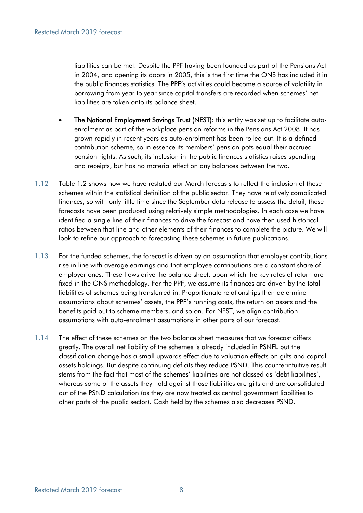in 2004, and opening its doors in 2005, this is the first time the ONS has included it in liabilities can be met. Despite the PPF having been founded as part of the Pensions Act the public finances statistics. The PPF's activities could become a source of volatility in borrowing from year to year since capital transfers are recorded when schemes' net liabilities are taken onto its balance sheet.

- grown rapidly in recent years as auto-enrolment has been rolled out. It is a defined contribution scheme, so in essence its members' pension pots equal their accrued pension rights. As such, its inclusion in the public finances statistics raises spending The National Employment Savings Trust (NEST): this entity was set up to facilitate autoenrolment as part of the workplace pension reforms in the Pensions Act 2008. It has and receipts, but has no material effect on any balances between the two.
- 1.12 Table 1.2 shows how we have restated our March forecasts to reflect the inclusion of these schemes within the statistical definition of the public sector. They have relatively complicated finances, so with only little time since the September data release to assess the detail, these forecasts have been produced using relatively simple methodologies. In each case we have identified a single line of their finances to drive the forecast and have then used historical ratios between that line and other elements of their finances to complete the picture. We will look to refine our approach to forecasting these schemes in future publications.
- rise in line with average earnings and that employee contributions are a constant share of 1.13 For the funded schemes, the forecast is driven by an assumption that employer contributions employer ones. These flows drive the balance sheet, upon which the key rates of return are fixed in the ONS methodology. For the PPF, we assume its finances are driven by the total liabilities of schemes being transferred in. Proportionate relationships then determine assumptions about schemes' assets, the PPF's running costs, the return on assets and the benefits paid out to scheme members, and so on. For NEST, we align contribution assumptions with auto-enrolment assumptions in other parts of our forecast.
- 1.14 The effect of these schemes on the two balance sheet measures that we forecast differs greatly. The overall net liability of the schemes is already included in PSNFL but the classification change has a small upwards effect due to valuation effects on gilts and capital assets holdings. But despite continuing deficits they reduce PSND. This counterintuitive result stems from the fact that most of the schemes' liabilities are not classed as 'debt liabilities', whereas some of the assets they hold against those liabilities are gilts and are consolidated out of the PSND calculation (as they are now treated as central government liabilities to other parts of the public sector). Cash held by the schemes also decreases PSND.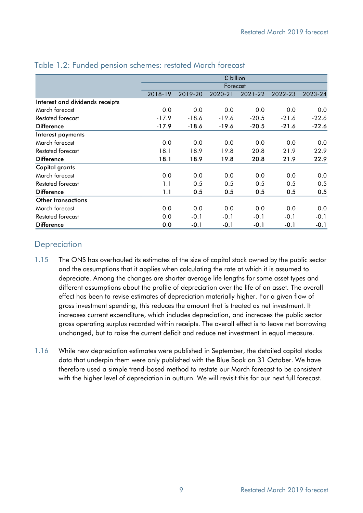|                                 |         |         | £ billion |         |         |         |
|---------------------------------|---------|---------|-----------|---------|---------|---------|
|                                 |         |         | Forecast  |         |         |         |
|                                 | 2018-19 | 2019-20 | 2020-21   | 2021-22 | 2022-23 | 2023-24 |
| Interest and dividends receipts |         |         |           |         |         |         |
| March forecast                  | 0.0     | 0.0     | 0.0       | 0.0     | 0.0     | 0.0     |
| <b>Restated forecast</b>        | $-17.9$ | $-18.6$ | $-19.6$   | $-20.5$ | $-21.6$ | $-22.6$ |
| <b>Difference</b>               | $-17.9$ | $-18.6$ | $-19.6$   | $-20.5$ | $-21.6$ | $-22.6$ |
| Interest payments               |         |         |           |         |         |         |
| March forecast                  | 0.0     | 0.0     | 0.0       | 0.0     | 0.0     | 0.0     |
| <b>Restated forecast</b>        | 18.1    | 18.9    | 19.8      | 20.8    | 21.9    | 22.9    |
| <b>Difference</b>               | 18.1    | 18.9    | 19.8      | 20.8    | 21.9    | 22.9    |
| Capital grants                  |         |         |           |         |         |         |
| March forecast                  | 0.0     | 0.0     | 0.0       | 0.0     | 0.0     | 0.0     |
| Restated forecast               | 1.1     | 0.5     | 0.5       | 0.5     | 0.5     | 0.5     |
| <b>Difference</b>               | 1.1     | 0.5     | 0.5       | 0.5     | 0.5     | 0.5     |
| Other transactions              |         |         |           |         |         |         |
| March forecast                  | 0.0     | 0.0     | 0.0       | 0.0     | 0.0     | 0.0     |
| Restated forecast               | 0.0     | $-0.1$  | $-0.1$    | $-0.1$  | $-0.1$  | $-0.1$  |
| <b>Difference</b>               | 0.0     | $-0.1$  | $-0.1$    | $-0.1$  | $-0.1$  | $-0.1$  |

#### Table 1.2: Funded pension schemes: restated March forecast

## **Depreciation**

- 1.15 The ONS has overhauled its estimates of the size of capital stock owned by the public sector and the assumptions that it applies when calculating the rate at which it is assumed to depreciate. Among the changes are shorter average life lengths for some asset types and different assumptions about the profile of depreciation over the life of an asset. The overall effect has been to revise estimates of depreciation materially higher. For a given flow of gross investment spending, this reduces the amount that is treated as net investment. It increases current expenditure, which includes depreciation, and increases the public sector gross operating surplus recorded within receipts. The overall effect is to leave net borrowing unchanged, but to raise the current deficit and reduce net investment in equal measure.
- 1.16 While new depreciation estimates were published in September, the detailed capital stocks data that underpin them were only published with the Blue Book on 31 October. We have therefore used a simple trend-based method to restate our March forecast to be consistent with the higher level of depreciation in outturn. We will revisit this for our next full forecast.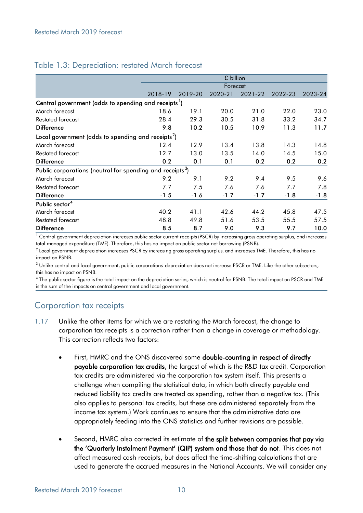#### Table 1.3: Depreciation: restated March forecast

|                                                                                                                                      |         |         | £ billion |         |         |         |
|--------------------------------------------------------------------------------------------------------------------------------------|---------|---------|-----------|---------|---------|---------|
|                                                                                                                                      |         |         | Forecast  |         |         |         |
|                                                                                                                                      | 2018-19 | 2019-20 | 2020-21   | 2021-22 | 2022-23 | 2023-24 |
| Central government (adds to spending and receipts <sup>1</sup> )                                                                     |         |         |           |         |         |         |
| March forecast                                                                                                                       | 18.6    | 19.1    | 20.0      | 21.0    | 22.0    | 23.0    |
| <b>Restated forecast</b>                                                                                                             | 28.4    | 29.3    | 30.5      | 31.8    | 33.2    | 34.7    |
| <b>Difference</b>                                                                                                                    | 9.8     | 10.2    | 10.5      | 10.9    | 11.3    | 11.7    |
| Local government (adds to spending and receipts <sup>2</sup> )                                                                       |         |         |           |         |         |         |
| March forecast                                                                                                                       | 12.4    | 12.9    | 13.4      | 13.8    | 14.3    | 14.8    |
| <b>Restated forecast</b>                                                                                                             | 12.7    | 13.0    | 13.5      | 14.0    | 14.5    | 15.0    |
| <b>Difference</b>                                                                                                                    | 0.2     | 0.1     | 0.1       | 0.2     | 0.2     | 0.2     |
| Public corporations (neutral for spending and receipts <sup>3</sup> )                                                                |         |         |           |         |         |         |
| March forecast                                                                                                                       | 9.2     | 9.1     | 9.2       | 9.4     | 9.5     | 9.6     |
| <b>Restated forecast</b>                                                                                                             | 7.7     | 7.5     | 7.6       | 7.6     | 7.7     | 7.8     |
| <b>Difference</b>                                                                                                                    | -1.5    | $-1.6$  | $-1.7$    | $-1.7$  | $-1.8$  | $-1.8$  |
| Public sector <sup>4</sup>                                                                                                           |         |         |           |         |         |         |
| March forecast                                                                                                                       | 40.2    | 41.1    | 42.6      | 44.2    | 45.8    | 47.5    |
| <b>Restated forecast</b>                                                                                                             | 48.8    | 49.8    | 51.6      | 53.5    | 55.5    | 57.5    |
| <b>Difference</b>                                                                                                                    | 8.5     | 8.7     | 9.0       | 9.3     | 9.7     | 10.0    |
| Central government depreciation increases public sector current receipts (PSCR) by increasing gross operating surplus, and increases |         |         |           |         |         |         |

total managed expenditure (TME). Therefore, this has no impact on public sector net borrowing (PSNB).

 $^2$  Local government depreciation increases <code>PSCR</code> by increasing gross operating surplus, and increases TME. Therefore, this has no impact on PSNB.

 $^3$  Unlike central and local government, public corporations' depreciation does not increase PSCR or TME. Like the other subsectors, this has no impact on PSNB.

4 The public sector figure is the total impact on the depreciation series, which is neutral for PSNB. The total impact on PSCR and TME is the sum of the impacts on central government and local government.

## Corporation tax receipts

- 1.17 Unlike the other items for which we are restating the March forecast, the change to corporation tax receipts is a correction rather than a change in coverage or methodology. This correction reflects two factors:
	- First, HMRC and the ONS discovered some double-counting in respect of directly payable corporation tax credits, the largest of which is the R&D tax credit. Corporation tax credits are administered via the corporation tax system itself. This presents a challenge when compiling the statistical data, in which both directly payable and reduced liability tax credits are treated as spending, rather than a negative tax. (This also applies to personal tax credits, but these are administered separately from the income tax system.) Work continues to ensure that the administrative data are appropriately feeding into the ONS statistics and further revisions are possible.
	- Second, HMRC also corrected its estimate of the split between companies that pay via the 'Quarterly Instalment Payment' (QIP) system and those that do not. This does not affect measured cash receipts, but does affect the time-shifting calculations that are used to generate the accrued measures in the National Accounts. We will consider any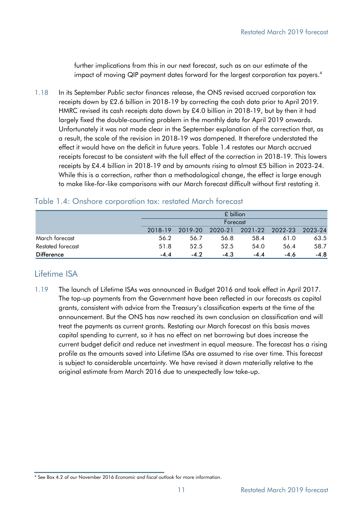further implications from this in our next forecast, such as on our estimate of the impact of moving QIP payment dates forward for the largest corporation tax payers. 4

1.18 In its September *Public sector finances* release, the ONS revised accrued corporation tax receipts down by £2.6 billion in 2018-19 by correcting the cash data prior to April 2019. HMRC revised its cash receipts data down by £4.0 billion in 2018-19, but by then it had largely fixed the double-counting problem in the monthly data for April 2019 onwards. Unfortunately it was not made clear in the September explanation of the correction that, as a result, the scale of the revision in 2018-19 was dampened. It therefore understated the effect it would have on the deficit in future years. Table 1.4 restates our March accrued receipts forecast to be consistent with the full effect of the correction in 2018-19. This lowers receipts by £4.4 billion in 2018-19 and by amounts rising to almost £5 billion in 2023-24. While this is a correction, rather than a methodological change, the effect is large enough to make like-for-like comparisons with our March forecast difficult without first restating it.

| 2018-19 | 2019-20 | 2020-21 | $2021 - 22$ | 2022-23               | 2023-24 |
|---------|---------|---------|-------------|-----------------------|---------|
| 56.2    | 56.7    | 56.8    | 58.4        | 61.0                  | 63.5    |
| 51.8    | 52.5    | 52.5    | 54.0        | 56.4                  | 58.7    |
| $-4.4$  | $-4.2$  | $-4.3$  | $-4.4$      | $-4.6$                | $-4.8$  |
|         |         |         |             | £ billion<br>Forecast |         |

#### Table 1.4: Onshore corporation tax: restated March forecast

## Lifetime ISA

 current budget deficit and reduce net investment in equal measure. The forecast has a rising 1.19 The launch of Lifetime ISAs was announced in Budget 2016 and took effect in April 2017. The top-up payments from the Government have been reflected in our forecasts as capital grants, consistent with advice from the Treasury's classification experts at the time of the announcement. But the ONS has now reached its own conclusion on classification and will treat the payments as current grants. Restating our March forecast on this basis moves capital spending to current, so it has no effect on net borrowing but does increase the profile as the amounts saved into Lifetime ISAs are assumed to rise over time. This forecast is subject to considerable uncertainty. We have revised it down materially relative to the original estimate from March 2016 due to unexpectedly low take-up.

 4 See Box 4.2 of our November 2016 *Economic and fiscal outlook* for more information.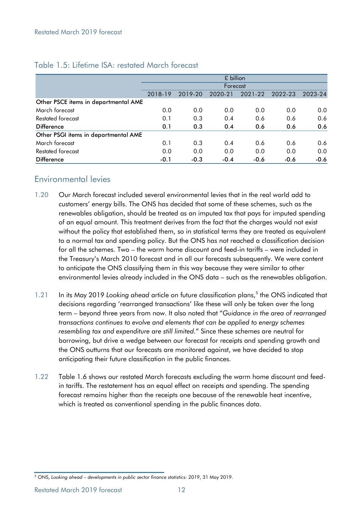|                                      |         |         | £ billion |         |         |         |
|--------------------------------------|---------|---------|-----------|---------|---------|---------|
|                                      |         |         | Forecast  |         |         |         |
|                                      | 2018-19 | 2019-20 | 2020-21   | 2021-22 | 2022-23 | 2023-24 |
| Other PSCE items in departmental AME |         |         |           |         |         |         |
| March forecast                       | 0.0     | 0.0     | 0.0       | 0.0     | 0.0     | 0.0     |
| Restated forecast                    | 0.1     | 0.3     | 0.4       | 0.6     | 0.6     | 0.6     |
| <b>Difference</b>                    | 0.1     | 0.3     | 0.4       | 0.6     | 0.6     | 0.6     |
| Other PSGI items in departmental AME |         |         |           |         |         |         |
| March forecast                       | 0.1     | 0.3     | 0.4       | 0.6     | 0.6     | 0.6     |
| Restated forecast                    | 0.0     | 0.0     | 0.0       | 0.0     | 0.0     | 0.0     |
| <b>Difference</b>                    | $-0.1$  | $-0.3$  | $-0.4$    | $-0.6$  | $-0.6$  | $-0.6$  |

#### Table 1.5: Lifetime ISA: restated March forecast

#### Environmental levies

- to anticipate the ONS classifying them in this way because they were similar to other 1.20 Our March forecast included several environmental levies that in the real world add to customers' energy bills. The ONS has decided that some of these schemes, such as the renewables obligation, should be treated as an imputed tax that pays for imputed spending of an equal amount. This treatment derives from the fact that the charges would not exist without the policy that established them, so in statistical terms they are treated as equivalent to a normal tax and spending policy. But the ONS has not reached a classification decision for all the schemes. Two – the warm home discount and feed-in tariffs – were included in the Treasury's March 2010 forecast and in all our forecasts subsequently. We were content environmental levies already included in the ONS data – such as the renewables obligation.
- decisions regarding 'rearranged transactions' like these will only be taken over the long  *transactions continues to evolve and elements that can be applied to energy schemes resembling tax and expenditure are still limited.*" Since these schemes are neutral for 1.21 In its May 2019 *Looking ahead* article on future classification plans,5 the ONS indicated that term – beyond three years from now. It also noted that "*Guidance in the area of rearranged*  borrowing, but drive a wedge between our forecast for receipts and spending growth and the ONS outturns that our forecasts are monitored against, we have decided to stop anticipating their future classification in the public finances.
- 1.22 Table 1.6 shows our restated March forecasts excluding the warm home discount and feedin tariffs. The restatement has an equal effect on receipts and spending. The spending forecast remains higher than the receipts one because of the renewable heat incentive, which is treated as conventional spending in the public finances data.

 5 ONS, *Looking ahead – developments in public sector finance statistics: 2019*, 31 May 2019.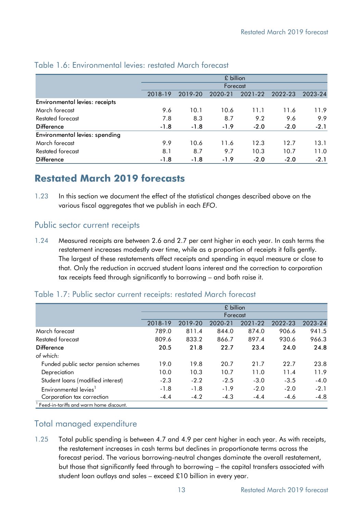|                                |         |         | £ billion |         |         |         |
|--------------------------------|---------|---------|-----------|---------|---------|---------|
|                                |         |         | Forecast  |         |         |         |
|                                | 2018-19 | 2019-20 | 2020-21   | 2021-22 | 2022-23 | 2023-24 |
| Environmental levies: receipts |         |         |           |         |         |         |
| March forecast                 | 9.6     | 10.1    | 10.6      | 11.1    | 11.6    | 11.9    |
| Restated forecast              | 7.8     | 8.3     | 8.7       | 9.2     | 9.6     | 9.9     |
| <b>Difference</b>              | $-1.8$  | $-1.8$  | $-1.9$    | $-2.0$  | $-2.0$  | $-2.1$  |
| Environmental levies: spending |         |         |           |         |         |         |
| March forecast                 | 9.9     | 10.6    | 11.6      | 12.3    | 12.7    | 13.1    |
| <b>Restated forecast</b>       | 8.1     | 8.7     | 9.7       | 10.3    | 10.7    | 11.0    |
| <b>Difference</b>              | $-1.8$  | $-1.8$  | $-1.9$    | $-2.0$  | $-2.0$  | $-2.1$  |

#### Table 1.6: Environmental levies: restated March forecast

## **Restated March 2019 forecasts**

1.23 In this section we document the effect of the statistical changes described above on the various fiscal aggregates that we publish in each *EFO*.

#### Public sector current receipts

1.24 Measured receipts are between 2.6 and 2.7 per cent higher in each year. In cash terms the restatement increases modestly over time, while as a proportion of receipts it falls gently. The largest of these restatements affect receipts and spending in equal measure or close to that. Only the reduction in accrued student loans interest and the correction to corporation tax receipts feed through significantly to borrowing – and both raise it.

#### Table 1.7: Public sector current receipts: restated March forecast

|                                        |         |         | £ billion |         |         |         |
|----------------------------------------|---------|---------|-----------|---------|---------|---------|
|                                        |         |         | Forecast  |         |         |         |
|                                        | 2018-19 | 2019-20 | 2020-21   | 2021-22 | 2022-23 | 2023-24 |
| March forecast                         | 789.0   | 811.4   | 844.0     | 874.0   | 906.6   | 941.5   |
| Restated forecast                      | 809.6   | 833.2   | 866.7     | 897.4   | 930.6   | 966.3   |
| <b>Difference</b>                      | 20.5    | 21.8    | 22.7      | 23.4    | 24.0    | 24.8    |
| of which:                              |         |         |           |         |         |         |
| Funded public sector pension schemes   | 19.0    | 19.8    | 20.7      | 21.7    | 22.7    | 23.8    |
| Depreciation                           | 10.0    | 10.3    | 10.7      | 11.0    | 11.4    | 11.9    |
| Student loans (modified interest)      | $-2.3$  | $-2.2$  | $-2.5$    | $-3.0$  | $-3.5$  | $-4.0$  |
| Environmental levies <sup>1</sup>      | $-1.8$  | $-1.8$  | $-1.9$    | $-2.0$  | $-2.0$  | $-2.1$  |
| Corporation tax correction             | $-4.4$  | $-4.2$  | $-4.3$    | $-4.4$  | $-4.6$  | $-4.8$  |
| Egad-in-tariffs and warm home discount |         |         |           |         |         |         |

Feed-in-tariffs and warm home discount.

## Total managed expenditure

 the restatement increases in cash terms but declines in proportionate terms across the 1.25 Total public spending is between 4.7 and 4.9 per cent higher in each year. As with receipts, forecast period. The various borrowing-neutral changes dominate the overall restatement, but those that significantly feed through to borrowing – the capital transfers associated with student loan outlays and sales – exceed £10 billion in every year.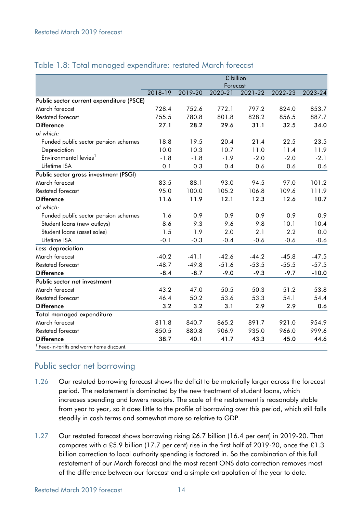|                                          |         |         | £ billion |         |         |         |
|------------------------------------------|---------|---------|-----------|---------|---------|---------|
|                                          |         |         | Forecast  |         |         |         |
|                                          | 2018-19 | 2019-20 | 2020-21   | 2021-22 | 2022-23 | 2023-24 |
| Public sector current expenditure (PSCE) |         |         |           |         |         |         |
| March forecast                           | 728.4   | 752.6   | 772.1     | 797.2   | 824.0   | 853.7   |
| <b>Restated forecast</b>                 | 755.5   | 780.8   | 801.8     | 828.2   | 856.5   | 887.7   |
| <b>Difference</b>                        | 27.1    | 28.2    | 29.6      | 31.1    | 32.5    | 34.0    |
| of which:                                |         |         |           |         |         |         |
| Funded public sector pension schemes     | 18.8    | 19.5    | 20.4      | 21.4    | 22.5    | 23.5    |
| Depreciation                             | 10.0    | 10.3    | 10.7      | 11.0    | 11.4    | 11.9    |
| Environmental levies <sup>1</sup>        | $-1.8$  | $-1.8$  | $-1.9$    | $-2.0$  | $-2.0$  | $-2.1$  |
| Lifetime ISA                             | 0.1     | 0.3     | 0.4       | 0.6     | 0.6     | 0.6     |
| Public sector gross investment (PSGI)    |         |         |           |         |         |         |
| March forecast                           | 83.5    | 88.1    | 93.0      | 94.5    | 97.0    | 101.2   |
| <b>Restated forecast</b>                 | 95.0    | 100.0   | 105.2     | 106.8   | 109.6   | 111.9   |
| <b>Difference</b>                        | 11.6    | 11.9    | 12.1      | 12.3    | 12.6    | 10.7    |
| of which:                                |         |         |           |         |         |         |
| Funded public sector pension schemes     | 1.6     | 0.9     | 0.9       | 0.9     | 0.9     | 0.9     |
| Student loans (new outlays)              | 8.6     | 9.3     | 9.6       | 9.8     | 10.1    | 10.4    |
| Student loans (asset sales)              | 1.5     | 1.9     | 2.0       | 2.1     | 2.2     | 0.0     |
| Lifetime ISA                             | $-0.1$  | $-0.3$  | $-0.4$    | $-0.6$  | $-0.6$  | $-0.6$  |
| Less depreciation                        |         |         |           |         |         |         |
| March forecast                           | $-40.2$ | $-41.1$ | $-42.6$   | $-44.2$ | $-45.8$ | $-47.5$ |
| <b>Restated forecast</b>                 | $-48.7$ | $-49.8$ | $-51.6$   | $-53.5$ | $-55.5$ | $-57.5$ |
| <b>Difference</b>                        | $-8.4$  | $-8.7$  | $-9.0$    | $-9.3$  | $-9.7$  | $-10.0$ |
| Public sector net investment             |         |         |           |         |         |         |
| March forecast                           | 43.2    | 47.0    | 50.5      | 50.3    | 51.2    | 53.8    |
| <b>Restated forecast</b>                 | 46.4    | 50.2    | 53.6      | 53.3    | 54.1    | 54.4    |
| <b>Difference</b>                        | 3.2     | 3.2     | 3.1       | 2.9     | 2.9     | 0.6     |
| Total managed expenditure                |         |         |           |         |         |         |
| March forecast                           | 811.8   | 840.7   | 865.2     | 891.7   | 921.0   | 954.9   |
| <b>Restated forecast</b>                 | 850.5   | 880.8   | 906.9     | 935.0   | 966.0   | 999.6   |
| <b>Difference</b>                        | 38.7    | 40.1    | 41.7      | 43.3    | 45.0    | 44.6    |
| Feed-in-tariffs and warm home discount.  |         |         |           |         |         |         |

#### Table 1.8: Total managed expenditure: restated March forecast

## Public sector net borrowing

- 1.26 Our restated borrowing forecast shows the deficit to be materially larger across the forecast period. The restatement is dominated by the new treatment of student loans, which increases spending and lowers receipts. The scale of the restatement is reasonably stable from year to year, so it does little to the profile of borrowing over this period, which still falls steadily in cash terms and somewhat more so relative to GDP.
- 1.27 Our restated forecast shows borrowing rising £6.7 billion (16.4 per cent) in 2019-20. That compares with a £5.9 billion (17.7 per cent) rise in the first half of 2019-20, once the £1.3 billion correction to local authority spending is factored in. So the combination of this full restatement of our March forecast and the most recent ONS data correction removes most of the difference between our forecast and a simple extrapolation of the year to date.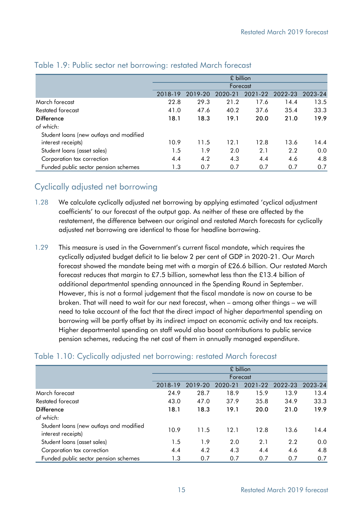|                                         |         |         | £ billion |         |         |         |
|-----------------------------------------|---------|---------|-----------|---------|---------|---------|
|                                         |         |         | Forecast  |         |         |         |
|                                         | 2018-19 | 2019-20 | 2020-21   | 2021-22 | 2022-23 | 2023-24 |
| March forecast                          | 22.8    | 29.3    | 21.2      | 17.6    | 14.4    | 13.5    |
| Restated forecast                       | 41.0    | 47.6    | 40.2      | 37.6    | 35.4    | 33.3    |
| <b>Difference</b>                       | 18.1    | 18.3    | 19.1      | 20.0    | 21.0    | 19.9    |
| of which:                               |         |         |           |         |         |         |
| Student loans (new outlays and modified |         |         |           |         |         |         |
| interest receipts)                      | 10.9    | 11.5    | 12.1      | 12.8    | 13.6    | 14.4    |
| Student loans (asset sales)             | 1.5     | 1.9     | 2.0       | 2.1     | 2.2     | 0.0     |
| Corporation tax correction              | 4.4     | 4.2     | 4.3       | 4.4     | 4.6     | 4.8     |
| Funded public sector pension schemes    | 1.3     | 0.7     | 0.7       | 0.7     | 0.7     | 0.7     |

#### Table 1.9: Public sector net borrowing: restated March forecast

## Cyclically adjusted net borrowing

- 1.28 We calculate cyclically adjusted net borrowing by applying estimated 'cyclical adjustment coefficients' to our forecast of the output gap. As neither of these are affected by the restatement, the difference between our original and restated March forecasts for cyclically adjusted net borrowing are identical to those for headline borrowing.
- forecast reduces that margin to £7.5 billion, somewhat less than the £13.4 billion of 1.29 This measure is used in the Government's current fiscal mandate, which requires the cyclically adjusted budget deficit to lie below 2 per cent of GDP in 2020-21. Our March forecast showed the mandate being met with a margin of £26.6 billion. Our restated March additional departmental spending announced in the Spending Round in September. However, this is not a formal judgement that the fiscal mandate is now on course to be broken. That will need to wait for our next forecast, when – among other things – we will need to take account of the fact that the direct impact of higher departmental spending on borrowing will be partly offset by its indirect impact on economic activity and tax receipts. Higher departmental spending on staff would also boost contributions to public service pension schemes, reducing the net cost of them in annually managed expenditure.

|                                                               |         |               | £ billion |         |         |         |
|---------------------------------------------------------------|---------|---------------|-----------|---------|---------|---------|
|                                                               |         |               | Forecast  |         |         |         |
|                                                               | 2018-19 | 20<br>$19-20$ | 2020-21   | 2021-22 | 2022-23 | 2023-24 |
| March forecast                                                | 24.9    | 28.7          | 18.9      | 15.9    | 13.9    | 13.4    |
| Restated forecast                                             | 43.0    | 47.0          | 37.9      | 35.8    | 34.9    | 33.3    |
| <b>Difference</b>                                             | 18.1    | 18.3          | 19.1      | 20.0    | 21.0    | 19.9    |
| of which:                                                     |         |               |           |         |         |         |
| Student loans (new outlays and modified<br>interest receipts) | 10.9    | 11.5          | 12.1      | 12.8    | 13.6    | 14.4    |
| Student loans (asset sales)                                   | 1.5     | 1.9           | 2.0       | 2.1     | 2.2     | 0.0     |
| Corporation tax correction                                    | 4.4     | 4.2           | 4.3       | 4.4     | 4.6     | 4.8     |
| Funded public sector pension schemes                          | 1.3     | 0.7           | 0.7       | 0.7     | 0.7     | 0.7     |

#### Table 1.10: Cyclically adjusted net borrowing: restated March forecast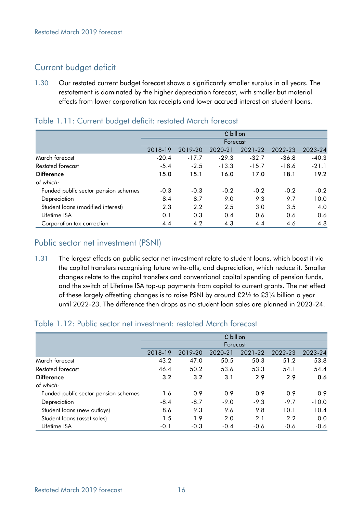## Current budget deficit

1.30 Our restated current budget forecast shows a significantly smaller surplus in all years. The restatement is dominated by the higher depreciation forecast, with smaller but material effects from lower corporation tax receipts and lower accrued interest on student loans.

|                                      |         |         | £ billion |         |         |         |
|--------------------------------------|---------|---------|-----------|---------|---------|---------|
|                                      |         |         | Forecast  |         |         |         |
|                                      | 2018-19 | 2019-20 | 2020-21   | 2021-22 | 2022-23 | 2023-24 |
| March forecast                       | $-20.4$ | $-17.7$ | $-29.3$   | $-32.7$ | $-36.8$ | $-40.3$ |
| Restated forecast                    | $-5.4$  | $-2.5$  | $-13.3$   | $-15.7$ | $-18.6$ | $-21.1$ |
| <b>Difference</b>                    | 15.0    | 15.1    | 16.0      | 17.0    | 18.1    | 19.2    |
| of which:                            |         |         |           |         |         |         |
| Funded public sector pension schemes | $-0.3$  | $-0.3$  | $-0.2$    | $-0.2$  | $-0.2$  | $-0.2$  |
| Depreciation                         | 8.4     | 8.7     | 9.0       | 9.3     | 9.7     | 10.0    |
| Student loans (modified interest)    | 2.3     | 2.2     | 2.5       | 3.0     | 3.5     | 4.0     |
| Lifetime ISA                         | 0.1     | 0.3     | 0.4       | 0.6     | 0.6     | 0.6     |
| Corporation tax correction           | 4.4     | 4.2     | 4.3       | 4.4     | 4.6     | 4.8     |

#### Table 1.11: Current budget deficit: restated March forecast

#### Public sector net investment (PSNI)

1.31 The largest effects on public sector net investment relate to student loans, which boost it via the capital transfers recognising future write-offs, and depreciation, which reduce it. Smaller changes relate to the capital transfers and conventional capital spending of pension funds, and the switch of Lifetime ISA top-up payments from capital to current grants. The net effect of these largely offsetting changes is to raise PSNI by around £2½ to £3¼ billion a year until 2022-23. The difference then drops as no student loan sales are planned in 2023-24.

#### Table 1.12: Public sector net investment: restated March forecast

|                                      |         |         | £ billion |         |         |         |
|--------------------------------------|---------|---------|-----------|---------|---------|---------|
|                                      |         |         | Forecast  |         |         |         |
|                                      | 2018-19 | 2019-20 | 2020-21   | 2021-22 | 2022-23 | 2023-24 |
| March forecast                       | 43.2    | 47.0    | 50.5      | 50.3    | 51.2    | 53.8    |
| Restated forecast                    | 46.4    | 50.2    | 53.6      | 53.3    | 54.1    | 54.4    |
| <b>Difference</b>                    | 3.2     | 3.2     | 3.1       | 2.9     | 2.9     | 0.6     |
| of which:                            |         |         |           |         |         |         |
| Funded public sector pension schemes | 1.6     | 0.9     | 0.9       | 0.9     | 0.9     | 0.9     |
| Depreciation                         | $-8.4$  | $-8.7$  | $-9.0$    | $-9.3$  | $-9.7$  | $-10.0$ |
| Student loans (new outlays)          | 8.6     | 9.3     | 9.6       | 9.8     | 10.1    | 10.4    |
| Student loans (asset sales)          | 1.5     | 1.9     | 2.0       | 2.1     | 2.2     | 0.0     |
| Lifetime ISA                         | $-0.1$  | $-0.3$  | $-0.4$    | $-0.6$  | $-0.6$  | $-0.6$  |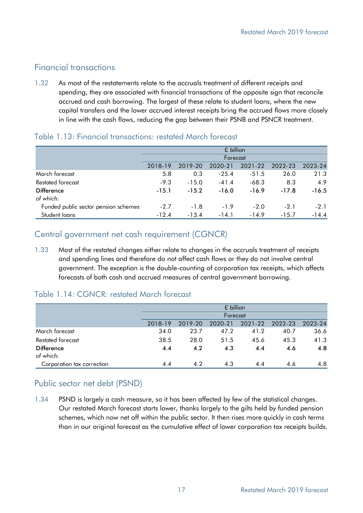## Financial transactions

1.32 As most of the restatements relate to the accruals treatment of different receipts and spending, they are associated with financial transactions of the opposite sign that reconcile accrued and cash borrowing. The largest of these relate to student loans, where the new capital transfers and the lower accrued interest receipts bring the accrued flows more closely in line with the cash flows, reducing the gap between their PSNB and PSNCR treatment.

|                                      | £ billion |         |         |         |         |         |  |
|--------------------------------------|-----------|---------|---------|---------|---------|---------|--|
|                                      | Forecast  |         |         |         |         |         |  |
|                                      | 2018-19   | 2019-20 | 2020-21 | 2021-22 | 2022-23 | 2023-24 |  |
| March forecast                       | 5.8       | 0.3     | $-25.4$ | $-51.5$ | 26.0    | 21.3    |  |
| Restated forecast                    | $-9.3$    | $-15.0$ | $-41.4$ | $-68.3$ | 8.3     | 4.9     |  |
| <b>Difference</b>                    | $-15.1$   | $-15.2$ | $-16.0$ | $-16.9$ | $-17.8$ | $-16.5$ |  |
| of which:                            |           |         |         |         |         |         |  |
| Funded public sector pension schemes | $-2.7$    | $-1.8$  | $-1.9$  | $-2.0$  | $-2.1$  | $-2.1$  |  |
| Student loans                        | $-12.4$   | $-13.4$ | $-14.1$ | $-14.9$ | $-15.7$ | $-14.4$ |  |

#### Table 1.13: Financial transactions: restated March forecast

## Central government net cash requirement (CGNCR)

1.33 Most of the restated changes either relate to changes in the accruals treatment of receipts and spending lines and therefore do not affect cash flows or they do not involve central government. The exception is the double-counting of corporation tax receipts, which affects forecasts of both cash and accrued measures of central government borrowing.

|                            |         | £ billion |         |         |         |         |  |  |
|----------------------------|---------|-----------|---------|---------|---------|---------|--|--|
|                            |         | Forecast  |         |         |         |         |  |  |
|                            | 2018-19 | 2019-20   | 2020-21 | 2021-22 | 2022-23 | 2023-24 |  |  |
| March forecast             | 34.0    | 23.7      | 47.2    | 41.2    | 40.7    | 36.6    |  |  |
| <b>Restated forecast</b>   | 38.5    | 28.0      | 51.5    | 45.6    | 45.3    | 41.3    |  |  |
| <b>Difference</b>          | 4.4     | 4.2       | 4.3     | 4.4     | 4.6     | 4.8     |  |  |
| of which:                  |         |           |         |         |         |         |  |  |
| Corporation tax correction | 4.4     | 4.2       | 4.3     | 4.4     | 4.6     | 4.8     |  |  |

#### Table 1.14: CGNCR: restated March forecast

## Public sector net debt (PSND)

1.34 PSND is largely a cash measure, so it has been affected by few of the statistical changes. Our restated March forecast starts lower, thanks largely to the gilts held by funded pension schemes, which now net off within the public sector. It then rises more quickly in cash terms than in our original forecast as the cumulative effect of lower corporation tax receipts builds.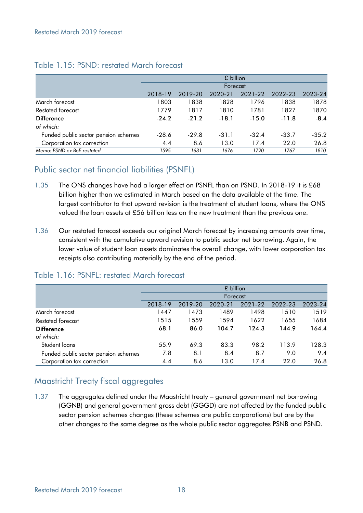#### Table 1.15: PSND: restated March forecast

|                                      | £ billion |         |         |         |         |         |  |
|--------------------------------------|-----------|---------|---------|---------|---------|---------|--|
|                                      | Forecast  |         |         |         |         |         |  |
|                                      | 2018-19   | 2019-20 | 2020-21 | 2021-22 | 2022-23 | 2023-24 |  |
| March forecast                       | 1803      | 1838    | 1828    | 1796    | 1838    | 1878    |  |
| Restated forecast                    | 1779      | 1817    | 1810    | 1781    | 1827    | 1870    |  |
| <b>Difference</b>                    | $-24.2$   | $-21.2$ | $-18.1$ | $-15.0$ | $-11.8$ | $-8.4$  |  |
| of which:                            |           |         |         |         |         |         |  |
| Funded public sector pension schemes | $-28.6$   | $-29.8$ | $-31.1$ | $-32.4$ | $-33.7$ | $-35.2$ |  |
| Corporation tax correction           | 4.4       | 8.6     | 13.0    | 17.4    | 22.0    | 26.8    |  |
| Memo: PSND ex BoE restated           | 1595      | 1631    | 1676    | 1720    | 1767    | 1810    |  |

## Public sector net financial liabilities (PSNFL)

- 1.35 The ONS changes have had a larger effect on PSNFL than on PSND. In 2018-19 it is £68 billion higher than we estimated in March based on the data available at the time. The largest contributor to that upward revision is the treatment of student loans, where the ONS valued the loan assets at £56 billion less on the new treatment than the previous one.
- 1.36 Our restated forecast exceeds our original March forecast by increasing amounts over time, consistent with the cumulative upward revision to public sector net borrowing. Again, the lower value of student loan assets dominates the overall change, with lower corporation tax receipts also contributing materially by the end of the period.

| £ billion<br>Forecast |      |       |       |       |       |
|-----------------------|------|-------|-------|-------|-------|
|                       |      |       |       |       |       |
| 1447                  | 1473 | 1489  | 1498  | 1510  | 1519  |
| 1515                  | 1559 | 1594  | 1622  | 1655  | 1684  |
| 68.1                  | 86.0 | 104.7 | 124.3 | 144.9 | 164.4 |
|                       |      |       |       |       |       |
| 55.9                  | 69.3 | 83.3  | 98.2  | 113.9 | 128.3 |
| 7.8                   | 8.1  | 8.4   | 8.7   | 9.0   | 9.4   |
| 4.4                   | 8.6  | 13.0  | 17.4  | 22.0  | 26.8  |
|                       |      |       |       |       |       |

#### Table 1.16: PSNFL: restated March forecast

## Maastricht Treaty fiscal aggregates

 (GGNB) and general government gross debt (GGGD) are not affected by the funded public 1.37 The aggregates defined under the Maastricht treaty – general government net borrowing sector pension schemes changes (these schemes are public corporations) but are by the other changes to the same degree as the whole public sector aggregates PSNB and PSND.